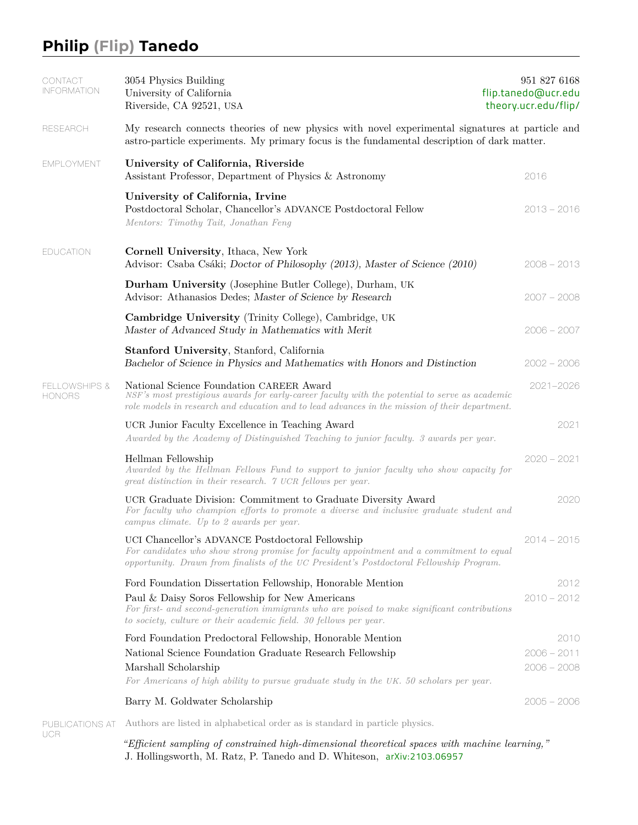## **Philip (Flip) Tanedo**

UCR

| CONTACT<br><b>INFORMATION</b>             | 3054 Physics Building<br>University of California<br>Riverside, CA 92521, USA                                                                                                                                                                                                      | 951 827 6168<br>flip.tanedo@ucr.edu<br>theory.ucr.edu/flip/ |      |
|-------------------------------------------|------------------------------------------------------------------------------------------------------------------------------------------------------------------------------------------------------------------------------------------------------------------------------------|-------------------------------------------------------------|------|
| <b>RESEARCH</b>                           | My research connects theories of new physics with novel experimental signatures at particle and<br>astro-particle experiments. My primary focus is the fundamental description of dark matter.                                                                                     |                                                             |      |
| <b>EMPLOYMENT</b>                         | University of California, Riverside<br>Assistant Professor, Department of Physics & Astronomy                                                                                                                                                                                      | 2016                                                        |      |
|                                           | University of California, Irvine<br>Postdoctoral Scholar, Chancellor's ADVANCE Postdoctoral Fellow<br>Mentors: Timothy Tait, Jonathan Feng                                                                                                                                         | $2013 - 2016$                                               |      |
| <b>EDUCATION</b>                          | Cornell University, Ithaca, New York<br>Advisor: Csaba Csáki; Doctor of Philosophy (2013), Master of Science (2010)                                                                                                                                                                | $2008 - 2013$                                               |      |
|                                           | <b>Durham University</b> (Josephine Butler College), Durham, UK<br>Advisor: Athanasios Dedes; Master of Science by Research                                                                                                                                                        | $2007 - 2008$                                               |      |
|                                           | Cambridge University (Trinity College), Cambridge, UK<br>Master of Advanced Study in Mathematics with Merit                                                                                                                                                                        | $2006 - 2007$                                               |      |
|                                           | <b>Stanford University, Stanford, California</b><br>Bachelor of Science in Physics and Mathematics with Honors and Distinction                                                                                                                                                     | $2002 - 2006$                                               |      |
| <b>FELLOWSHIPS &amp;</b><br><b>HONORS</b> | National Science Foundation CAREER Award<br>NSF's most prestigious awards for early-career faculty with the potential to serve as academic<br>role models in research and education and to lead advances in the mission of their department.                                       | 2021-2026                                                   |      |
|                                           | UCR Junior Faculty Excellence in Teaching Award<br>Awarded by the Academy of Distinguished Teaching to junior faculty. 3 awards per year.                                                                                                                                          |                                                             | 2021 |
|                                           | Hellman Fellowship<br>Awarded by the Hellman Fellows Fund to support to junior faculty who show capacity for<br>great distinction in their research. 7 UCR fellows per year.                                                                                                       | $2020 - 2021$                                               |      |
|                                           | UCR Graduate Division: Commitment to Graduate Diversity Award<br>For faculty who champion efforts to promote a diverse and inclusive graduate student and<br>campus climate. Up to 2 awards per year.                                                                              |                                                             | 2020 |
|                                           | UCI Chancellor's ADVANCE Postdoctoral Fellowship<br>For candidates who show strong promise for faculty appointment and a commitment to equal<br>opportunity. Drawn from finalists of the UC President's Postdoctoral Fellowship Program.                                           | $2014 - 2015$                                               |      |
|                                           | Ford Foundation Dissertation Fellowship, Honorable Mention<br>Paul & Daisy Soros Fellowship for New Americans<br>For first- and second-generation immigrants who are poised to make significant contributions<br>to society, culture or their academic field. 30 fellows per year. | $2010 - 2012$                                               | 2012 |
|                                           | Ford Foundation Predoctoral Fellowship, Honorable Mention<br>National Science Foundation Graduate Research Fellowship<br>Marshall Scholarship<br>For Americans of high ability to pursue graduate study in the UK. 50 scholars per year.                                           | $2006 - 2011$<br>$2006 - 2008$                              | 2010 |
|                                           | Barry M. Goldwater Scholarship                                                                                                                                                                                                                                                     | $2005 - 2006$                                               |      |
|                                           |                                                                                                                                                                                                                                                                                    |                                                             |      |

PUBLICATIONS AT Authors are listed in alphabetical order as is standard in particle physics.

*"Efficient sampling of constrained high-dimensional theoretical spaces with machine learning,"* J. Hollingsworth, M. Ratz, P. Tanedo and D. Whiteson, [arXiv:2103.06957](https://arxiv.org/abs/2103.06957)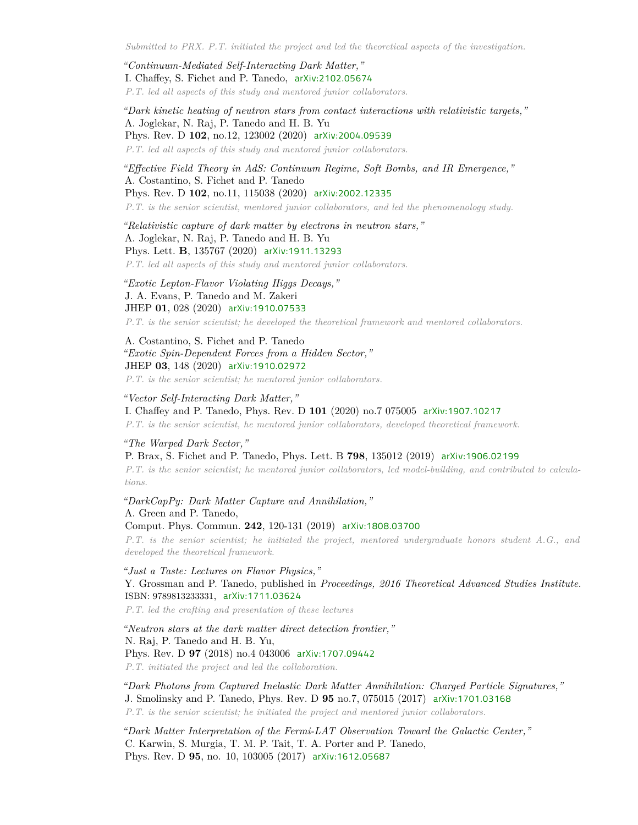*Submitted to PRX. P.T. initiated the project and led the theoretical aspects of the investigation.*

*"Continuum-Mediated Self-Interacting Dark Matter,"* I. Chaffey, S. Fichet and P. Tanedo, [arXiv:2102.05674](https://arxiv.org/abs/2102.05674) *P.T. led all aspects of this study and mentored junior collaborators.*

*"Dark kinetic heating of neutron stars from contact interactions with relativistic targets,"* A. Joglekar, N. Raj, P. Tanedo and H. B. Yu Phys. Rev. D **102**, no.12, 123002 (2020) [arXiv:2004.09539](https://arxiv.org/abs/2004.09539) *P.T. led all aspects of this study and mentored junior collaborators.*

*"Effective Field Theory in AdS: Continuum Regime, Soft Bombs, and IR Emergence,"* A. Costantino, S. Fichet and P. Tanedo Phys. Rev. D **102**, no.11, 115038 (2020) [arXiv:2002.12335](https://arxiv.org/abs/2002.12335) *P.T. is the senior scientist, mentored junior collaborators, and led the phenomenology study.*

*"Relativistic capture of dark matter by electrons in neutron stars,"* A. Joglekar, N. Raj, P. Tanedo and H. B. Yu Phys. Lett. **B**, 135767 (2020) [arXiv:1911.13293](https://arxiv.org/abs/1911.13293) *P.T. led all aspects of this study and mentored junior collaborators.*

*"Exotic Lepton-Flavor Violating Higgs Decays,"* J. A. Evans, P. Tanedo and M. Zakeri

JHEP **01**, 028 (2020) [arXiv:1910.07533](https://arxiv.org/abs/1910.07533)

*P.T. is the senior scientist; he developed the theoretical framework and mentored collaborators.*

A. Costantino, S. Fichet and P. Tanedo *"Exotic Spin-Dependent Forces from a Hidden Sector,"* JHEP **03**, 148 (2020) [arXiv:1910.02972](https://arxiv.org/abs/1910.02972)

*P.T. is the senior scientist; he mentored junior collaborators.*

*"Vector Self-Interacting Dark Matter,"* I. Chaffey and P. Tanedo, Phys. Rev. D **101** (2020) no.7 075005 [arXiv:1907.10217](https://arxiv.org/abs/1907.10217) *P.T. is the senior scientist, he mentored junior collaborators, developed theoretical framework.*

*"The Warped Dark Sector,"*

P. Brax, S. Fichet and P. Tanedo, Phys. Lett. B **798**, 135012 (2019) [arXiv:1906.02199](https://arxiv.org/abs/1906.02199) *P.T. is the senior scientist; he mentored junior collaborators, led model-building, and contributed to calculations.*

*"DarkCapPy: Dark Matter Capture and Annihilation,"* A. Green and P. Tanedo, Comput. Phys. Commun. **242**, 120-131 (2019) [arXiv:1808.03700](https://arxiv.org/abs/1808.03700)

*P.T. is the senior scientist; he initiated the project, mentored undergraduate honors student A.G., and developed the theoretical framework.*

*"Just a Taste: Lectures on Flavor Physics,"* Y. Grossman and P. Tanedo, published in *Proceedings, 2016 Theoretical Advanced Studies Institute.* ISBN: 9789813233331, [arXiv:1711.03624](https://arxiv.org/abs/1711.03624)

*P.T. led the crafting and presentation of these lectures*

*"Neutron stars at the dark matter direct detection frontier,"* N. Raj, P. Tanedo and H. B. Yu, Phys. Rev. D **97** (2018) no.4 043006 [arXiv:1707.09442](https://arxiv.org/abs/1707.09442) *P.T. initiated the project and led the collaboration.*

*"Dark Photons from Captured Inelastic Dark Matter Annihilation: Charged Particle Signatures,"* J. Smolinsky and P. Tanedo, Phys. Rev. D **95** no.7, 075015 (2017) [arXiv:1701.03168](https://arxiv.org/abs/1701.03168) *P.T. is the senior scientist; he initiated the project and mentored junior collaborators.*

*"Dark Matter Interpretation of the Fermi-LAT Observation Toward the Galactic Center,"* C. Karwin, S. Murgia, T. M. P. Tait, T. A. Porter and P. Tanedo, Phys. Rev. D **95**, no. 10, 103005 (2017) [arXiv:1612.05687](https://arxiv.org/abs/1612.05687)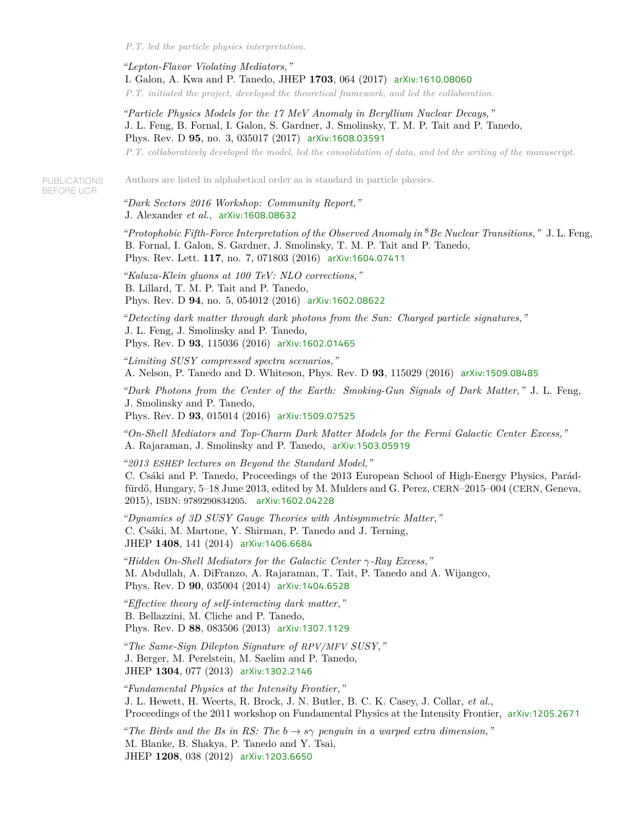*P.T. led the particle physics interpretation.*

*"Lepton-Flavor Violating Mediators,"* I. Galon, A. Kwa and P. Tanedo, JHEP **1703**, 064 (2017) [arXiv:1610.08060](https://arxiv.org/abs/1610.08060) *P.T. initiated the project, developed the theoretical framework, and led the collaboration.*

*"Particle Physics Models for the 17 MeV Anomaly in Beryllium Nuclear Decays,"* J. L. Feng, B. Fornal, I. Galon, S. Gardner, J. Smolinsky, T. M. P. Tait and P. Tanedo, Phys. Rev. D **95**, no. 3, 035017 (2017) [arXiv:1608.03591](https://arxiv.org/abs/1608.03591)

*P.T. collaboratively developed the model, led the consolidation of data, and led the writing of the manuscript.*

**PUBLICATIONS** BEFORE UCR

Authors are listed in alphabetical order as is standard in particle physics.

*"Dark Sectors 2016 Workshop: Community Report,"* J. Alexander *et al.*, [arXiv:1608.08632](https://arxiv.org/abs/1608.08632)

*"Protophobic Fifth-Force Interpretation of the Observed Anomaly in* <sup>8</sup>*Be Nuclear Transitions,"* J. L. Feng, B. Fornal, I. Galon, S. Gardner, J. Smolinsky, T. M. P. Tait and P. Tanedo, Phys. Rev. Lett. **117**, no. 7, 071803 (2016) [arXiv:1604.07411](https://arxiv.org/abs/1604.07411)

*"Kaluza-Klein gluons at 100 TeV: NLO corrections,"* B. Lillard, T. M. P. Tait and P. Tanedo, Phys. Rev. D **94**, no. 5, 054012 (2016) [arXiv:1602.08622](https://arxiv.org/abs/1602.08622)

*"Detecting dark matter through dark photons from the Sun: Charged particle signatures,"* J. L. Feng, J. Smolinsky and P. Tanedo, Phys. Rev. D **93**, 115036 (2016) [arXiv:1602.01465](https://arxiv.org/abs/1602.01465)

*"Limiting SUSY compressed spectra scenarios,"* A. Nelson, P. Tanedo and D. Whiteson, Phys. Rev. D **93**, 115029 (2016) [arXiv:1509.08485](https://arxiv.org/abs/1509.08485)

*"Dark Photons from the Center of the Earth: Smoking-Gun Signals of Dark Matter,"* J. L. Feng, J. Smolinsky and P. Tanedo,

Phys. Rev. D **93**, 015014 (2016) [arXiv:1509.07525](https://arxiv.org/abs/1509.07525)

*"On-Shell Mediators and Top-Charm Dark Matter Models for the Fermi Galactic Center Excess,"* A. Rajaraman, J. Smolinsky and P. Tanedo, [arXiv:1503.05919](https://arxiv.org/abs/1503.05919)

*"2013 ESHEP lectures on Beyond the Standard Model,"* C. Csáki and P. Tanedo, Proceedings of the 2013 European School of High-Energy Physics, Parádfürdő, Hungary, 5–18 June 2013, edited by M. Mulders and G. Perez, CERN–2015–004 (CERN, Geneva, 2015), ISBN: 9789290834205. [arXiv:1602.04228](https://arxiv.org/abs/1602.04228)

*"Dynamics of 3D SUSY Gauge Theories with Antisymmetric Matter,"* C. Csáki, M. Martone, Y. Shirman, P. Tanedo and J. Terning, JHEP **1408**, 141 (2014) [arXiv:1406.6684](https://arxiv.org/abs/1406.6684)

*"Hidden On-Shell Mediators for the Galactic Center γ-Ray Excess,"* M. Abdullah, A. DiFranzo, A. Rajaraman, T. Tait, P. Tanedo and A. Wijangco, Phys. Rev. D **90**, 035004 (2014) [arXiv:1404.6528](https://arxiv.org/abs/1404.6528)

*"Effective theory of self-interacting dark matter,"* B. Bellazzini, M. Cliche and P. Tanedo, Phys. Rev. D **88**, 083506 (2013) [arXiv:1307.1129](https://arxiv.org/abs/1307.1129)

*"The Same-Sign Dilepton Signature of RPV/MFV SUSY,"* J. Berger, M. Perelstein, M. Saelim and P. Tanedo, JHEP **1304**, 077 (2013) [arXiv:1302.2146](https://arxiv.org/abs/1302.2146)

*"Fundamental Physics at the Intensity Frontier,"* J. L. Hewett, H. Weerts, R. Brock, J. N. Butler, B. C. K. Casey, J. Collar, *et al.*, Proceedings of the 2011 workshop on Fundamental Physics at the Intensity Frontier, [arXiv:1205.2671](https://arxiv.org/abs/1205.2671)

*"The Birds and the Bs in RS: The*  $b \rightarrow s\gamma$  *penguin in a warped extra dimension,*" M. Blanke, B. Shakya, P. Tanedo and Y. Tsai, JHEP **1208**, 038 (2012) [arXiv:1203.6650](https://arxiv.org/abs/1203.6650)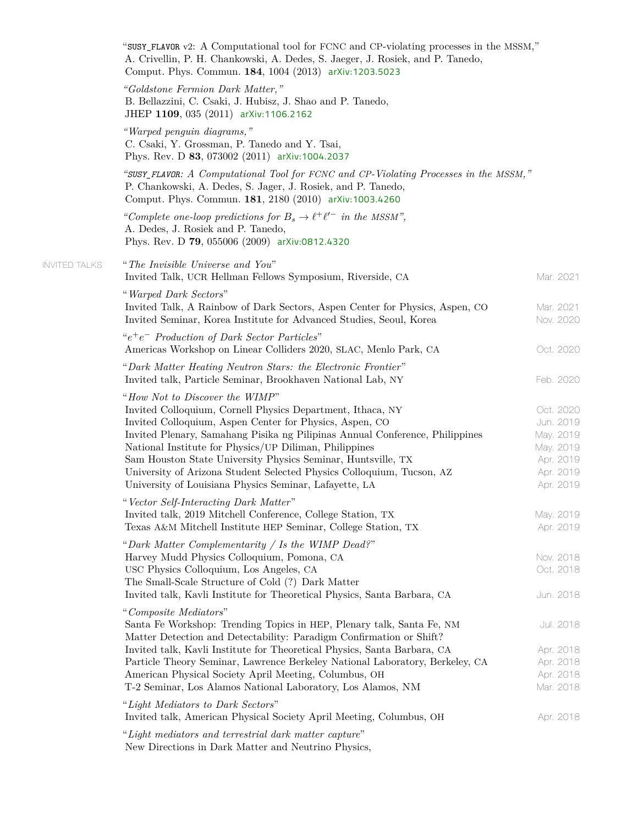|                      | "SUSY_FLAVOR v2: A Computational tool for FCNC and CP-violating processes in the MSSM,"<br>A. Crivellin, P. H. Chankowski, A. Dedes, S. Jaeger, J. Rosiek, and P. Tanedo,<br>Comput. Phys. Commun. 184, 1004 (2013) arXiv:1203.5023                                                                                                                                                                                                                                                                  |                                                                                         |
|----------------------|------------------------------------------------------------------------------------------------------------------------------------------------------------------------------------------------------------------------------------------------------------------------------------------------------------------------------------------------------------------------------------------------------------------------------------------------------------------------------------------------------|-----------------------------------------------------------------------------------------|
|                      | "Goldstone Fermion Dark Matter,"<br>B. Bellazzini, C. Csaki, J. Hubisz, J. Shao and P. Tanedo,<br>JHEP 1109, 035 (2011) arXiv:1106.2162                                                                                                                                                                                                                                                                                                                                                              |                                                                                         |
|                      | "Warped penguin diagrams,"<br>C. Csaki, Y. Grossman, P. Tanedo and Y. Tsai,<br>Phys. Rev. D 83, 073002 (2011) arXiv:1004.2037                                                                                                                                                                                                                                                                                                                                                                        |                                                                                         |
|                      | "SUSY_FLAVOR: A Computational Tool for FCNC and CP-Violating Processes in the MSSM,"<br>P. Chankowski, A. Dedes, S. Jager, J. Rosiek, and P. Tanedo,<br>Comput. Phys. Commun. 181, 2180 (2010) arXiv:1003.4260                                                                                                                                                                                                                                                                                       |                                                                                         |
|                      | "Complete one-loop predictions for $B_s \to \ell^+ \ell'^-$ in the MSSM",<br>A. Dedes, J. Rosiek and P. Tanedo,<br>Phys. Rev. D 79, 055006 (2009) arXiv:0812.4320                                                                                                                                                                                                                                                                                                                                    |                                                                                         |
| <b>INVITED TALKS</b> | "The Invisible Universe and You"<br>Invited Talk, UCR Hellman Fellows Symposium, Riverside, CA                                                                                                                                                                                                                                                                                                                                                                                                       | Mar. 2021                                                                               |
|                      | "Warped Dark Sectors"<br>Invited Talk, A Rainbow of Dark Sectors, Aspen Center for Physics, Aspen, CO<br>Invited Seminar, Korea Institute for Advanced Studies, Seoul, Korea                                                                                                                                                                                                                                                                                                                         | Mar. 2021<br>Nov. 2020                                                                  |
|                      | " $e^+e^-$ Production of Dark Sector Particles"<br>Americas Workshop on Linear Colliders 2020, SLAC, Menlo Park, CA                                                                                                                                                                                                                                                                                                                                                                                  | Oct. 2020                                                                               |
|                      | "Dark Matter Heating Neutron Stars: the Electronic Frontier"<br>Invited talk, Particle Seminar, Brookhaven National Lab, NY                                                                                                                                                                                                                                                                                                                                                                          | Feb. 2020                                                                               |
|                      | "How Not to Discover the WIMP"<br>Invited Colloquium, Cornell Physics Department, Ithaca, NY<br>Invited Colloquium, Aspen Center for Physics, Aspen, CO<br>Invited Plenary, Samahang Pisika ng Pilipinas Annual Conference, Philippines<br>National Institute for Physics/UP Diliman, Philippines<br>Sam Houston State University Physics Seminar, Huntsville, TX<br>University of Arizona Student Selected Physics Colloquium, Tucson, AZ<br>University of Louisiana Physics Seminar, Lafayette, LA | Oct. 2020<br>Jun. 2019<br>May. 2019<br>May. 2019<br>Apr. 2019<br>Apr. 2019<br>Apr. 2019 |
|                      | "Vector Self-Interacting Dark Matter"<br>Invited talk, 2019 Mitchell Conference, College Station, TX<br>Texas A&M Mitchell Institute HEP Seminar, College Station, TX                                                                                                                                                                                                                                                                                                                                | May. 2019<br>Apr. 2019                                                                  |
|                      | "Dark Matter Complementarity / Is the WIMP Dead?"<br>Harvey Mudd Physics Colloquium, Pomona, CA<br>USC Physics Colloquium, Los Angeles, CA<br>The Small-Scale Structure of Cold (?) Dark Matter<br>Invited talk, Kavli Institute for Theoretical Physics, Santa Barbara, CA                                                                                                                                                                                                                          | Nov. 2018<br>Oct. 2018<br>Jun. 2018                                                     |
|                      | "Composite Mediators"<br>Santa Fe Workshop: Trending Topics in HEP, Plenary talk, Santa Fe, NM<br>Matter Detection and Detectability: Paradigm Confirmation or Shift?<br>Invited talk, Kavli Institute for Theoretical Physics, Santa Barbara, CA<br>Particle Theory Seminar, Lawrence Berkeley National Laboratory, Berkeley, CA<br>American Physical Society April Meeting, Columbus, OH<br>T-2 Seminar, Los Alamos National Laboratory, Los Alamos, NM                                            | Jul. 2018<br>Apr. 2018<br>Apr. 2018<br>Apr. 2018<br>Mar. 2018                           |
|                      | "Light Mediators to Dark Sectors"<br>Invited talk, American Physical Society April Meeting, Columbus, OH                                                                                                                                                                                                                                                                                                                                                                                             | Apr. 2018                                                                               |
|                      | "Light mediators and terrestrial dark matter capture"<br>New Directions in Dark Matter and Neutrino Physics,                                                                                                                                                                                                                                                                                                                                                                                         |                                                                                         |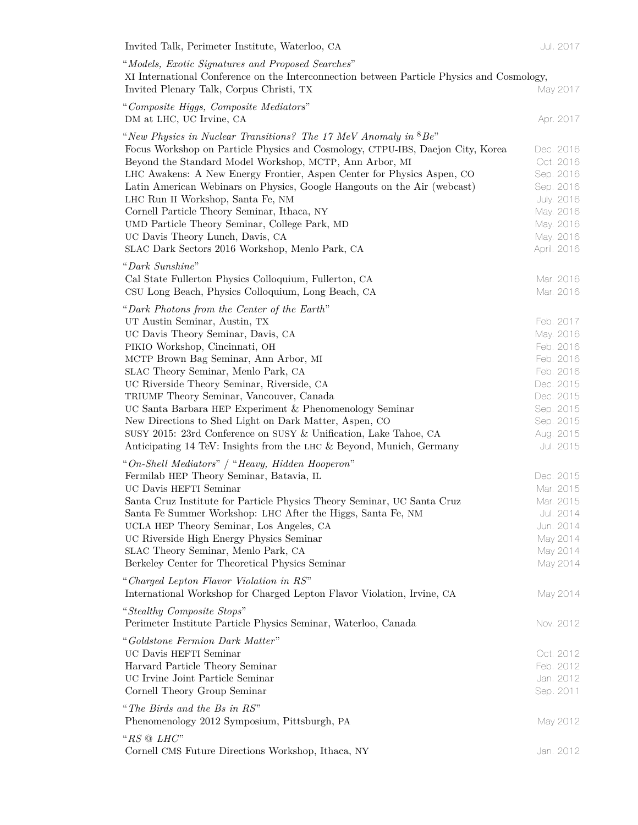| Invited Talk, Perimeter Institute, Waterloo, CA                                                                                                                                                                      | Jul. 2017                                          |
|----------------------------------------------------------------------------------------------------------------------------------------------------------------------------------------------------------------------|----------------------------------------------------|
| "Models, Exotic Signatures and Proposed Searches"                                                                                                                                                                    |                                                    |
| XI International Conference on the Interconnection between Particle Physics and Cosmology,<br>Invited Plenary Talk, Corpus Christi, TX                                                                               | May 2017                                           |
| "Composite Higgs, Composite Mediators"<br>DM at LHC, UC Irvine, CA                                                                                                                                                   | Apr. 2017                                          |
| "New Physics in Nuclear Transitions? The 17 MeV Anomaly in ${}^{8}Be$ "<br>Focus Workshop on Particle Physics and Cosmology, CTPU-IBS, Daejon City, Korea<br>Beyond the Standard Model Workshop, MCTP, Ann Arbor, MI | Dec. 2016<br>Oct. 2016                             |
| LHC Awakens: A New Energy Frontier, Aspen Center for Physics Aspen, CO<br>Latin American Webinars on Physics, Google Hangouts on the Air (webcast)<br>LHC Run II Workshop, Santa Fe, NM                              | Sep. 2016<br>Sep. 2016<br>July. 2016               |
| Cornell Particle Theory Seminar, Ithaca, NY<br>UMD Particle Theory Seminar, College Park, MD<br>UC Davis Theory Lunch, Davis, CA<br>SLAC Dark Sectors 2016 Workshop, Menlo Park, CA                                  | May. 2016<br>May. 2016<br>May. 2016<br>April. 2016 |
| "Dark Sunshine"<br>Cal State Fullerton Physics Colloquium, Fullerton, CA<br>CSU Long Beach, Physics Colloquium, Long Beach, CA                                                                                       | Mar. 2016<br>Mar. 2016                             |
| "Dark Photons from the Center of the Earth"                                                                                                                                                                          |                                                    |
| UT Austin Seminar, Austin, TX<br>UC Davis Theory Seminar, Davis, CA                                                                                                                                                  | Feb. 2017<br>May. 2016                             |
| PIKIO Workshop, Cincinnati, OH                                                                                                                                                                                       | Feb. 2016                                          |
| MCTP Brown Bag Seminar, Ann Arbor, MI                                                                                                                                                                                | Feb. 2016                                          |
| SLAC Theory Seminar, Menlo Park, CA<br>UC Riverside Theory Seminar, Riverside, CA                                                                                                                                    | Feb. 2016<br>Dec. 2015                             |
| TRIUMF Theory Seminar, Vancouver, Canada                                                                                                                                                                             | Dec. 2015                                          |
| UC Santa Barbara HEP Experiment & Phenomenology Seminar                                                                                                                                                              | Sep. 2015                                          |
| New Directions to Shed Light on Dark Matter, Aspen, CO                                                                                                                                                               | Sep. 2015                                          |
| SUSY 2015: 23rd Conference on SUSY & Unification, Lake Tahoe, CA<br>Anticipating 14 TeV: Insights from the LHC & Beyond, Munich, Germany                                                                             | Aug. 2015<br>Jul. 2015                             |
| "On-Shell Mediators" / "Heavy, Hidden Hooperon"                                                                                                                                                                      |                                                    |
| Fermilab HEP Theory Seminar, Batavia, IL                                                                                                                                                                             | Dec. 2015                                          |
| UC Davis HEFTI Seminar                                                                                                                                                                                               | Mar. 2015                                          |
| Santa Cruz Institute for Particle Physics Theory Seminar, UC Santa Cruz                                                                                                                                              | Mar. 2015                                          |
| Santa Fe Summer Workshop: LHC After the Higgs, Santa Fe, NM                                                                                                                                                          | Jul. 2014                                          |
| UCLA HEP Theory Seminar, Los Angeles, CA                                                                                                                                                                             | Jun. 2014                                          |
| UC Riverside High Energy Physics Seminar<br>SLAC Theory Seminar, Menlo Park, CA                                                                                                                                      | May 2014<br>May 2014                               |
| Berkeley Center for Theoretical Physics Seminar                                                                                                                                                                      | May 2014                                           |
| "Charged Lepton Flavor Violation in RS"<br>International Workshop for Charged Lepton Flavor Violation, Irvine, CA                                                                                                    | May 2014                                           |
| "Stealthy Composite Stops"<br>Perimeter Institute Particle Physics Seminar, Waterloo, Canada                                                                                                                         | Nov. 2012                                          |
| "Goldstone Fermion Dark Matter"                                                                                                                                                                                      |                                                    |
| UC Davis HEFTI Seminar                                                                                                                                                                                               | Oct. 2012                                          |
| Harvard Particle Theory Seminar                                                                                                                                                                                      | Feb. 2012                                          |
| UC Irvine Joint Particle Seminar<br>Cornell Theory Group Seminar                                                                                                                                                     | Jan. 2012<br>Sep. 2011                             |
| "The Birds and the Bs in RS"                                                                                                                                                                                         |                                                    |
| Phenomenology 2012 Symposium, Pittsburgh, PA                                                                                                                                                                         | May 2012                                           |
| " $RS \odot LHC$ "<br>Cornell CMS Future Directions Workshop, Ithaca, NY                                                                                                                                             | Jan. 2012                                          |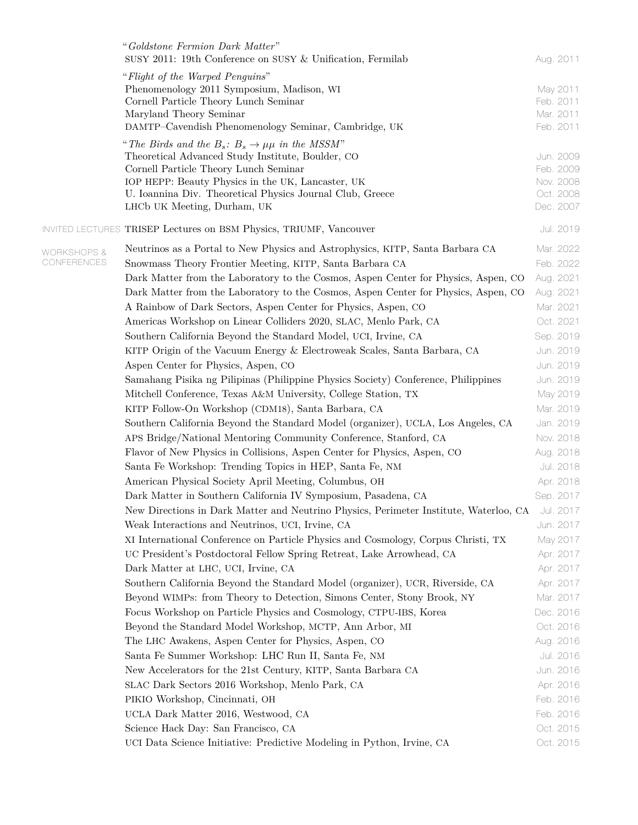|                        | "Goldstone Fermion Dark Matter"<br>SUSY 2011: 19th Conference on SUSY & Unification, Fermilab                  | Aug. 2011              |
|------------------------|----------------------------------------------------------------------------------------------------------------|------------------------|
|                        | "Flight of the Warped Penguins"                                                                                |                        |
|                        | Phenomenology 2011 Symposium, Madison, WI                                                                      | May 2011               |
|                        | Cornell Particle Theory Lunch Seminar                                                                          | Feb. 2011              |
|                        | Maryland Theory Seminar                                                                                        | Mar. 2011              |
|                        | DAMTP-Cavendish Phenomenology Seminar, Cambridge, UK                                                           | Feb. 2011              |
|                        | "The Birds and the $B_s: B_s \to \mu\mu$ in the MSSM"                                                          |                        |
|                        | Theoretical Advanced Study Institute, Boulder, CO                                                              | Jun. 2009              |
|                        | Cornell Particle Theory Lunch Seminar                                                                          | Feb. 2009              |
|                        | IOP HEPP: Beauty Physics in the UK, Lancaster, UK<br>U. Ioannina Div. Theoretical Physics Journal Club, Greece | Nov. 2008<br>Oct. 2008 |
|                        | LHCb UK Meeting, Durham, UK                                                                                    | Dec. 2007              |
|                        | <b>INVITED LECTURES TRISEP Lectures on BSM Physics, TRIUMF, Vancouver</b>                                      | Jul. 2019              |
|                        |                                                                                                                |                        |
| <b>WORKSHOPS &amp;</b> | Neutrinos as a Portal to New Physics and Astrophysics, KITP, Santa Barbara CA                                  | Mar. 2022              |
| CONFERENCES            | Snowmass Theory Frontier Meeting, KITP, Santa Barbara CA                                                       | Feb. 2022              |
|                        | Dark Matter from the Laboratory to the Cosmos, Aspen Center for Physics, Aspen, CO                             | Aug. 2021              |
|                        | Dark Matter from the Laboratory to the Cosmos, Aspen Center for Physics, Aspen, CO                             | Aug. 2021              |
|                        | A Rainbow of Dark Sectors, Aspen Center for Physics, Aspen, CO                                                 | Mar. 2021              |
|                        | Americas Workshop on Linear Colliders 2020, SLAC, Menlo Park, CA                                               | Oct. 2021              |
|                        | Southern California Beyond the Standard Model, UCI, Irvine, CA                                                 | Sep. 2019              |
|                        | KITP Origin of the Vacuum Energy & Electroweak Scales, Santa Barbara, CA                                       | Jun. 2019              |
|                        | Aspen Center for Physics, Aspen, CO                                                                            | Jun. 2019              |
|                        | Samahang Pisika ng Pilipinas (Philippine Physics Society) Conference, Philippines                              | Jun. 2019              |
|                        | Mitchell Conference, Texas A&M University, College Station, TX                                                 | May 2019               |
|                        | KITP Follow-On Workshop (CDM18), Santa Barbara, CA                                                             | Mar. 2019              |
|                        | Southern California Beyond the Standard Model (organizer), UCLA, Los Angeles, CA                               | Jan. 2019              |
|                        | APS Bridge/National Mentoring Community Conference, Stanford, CA                                               | Nov. 2018              |
|                        | Flavor of New Physics in Collisions, Aspen Center for Physics, Aspen, CO                                       | Aug. 2018              |
|                        | Santa Fe Workshop: Trending Topics in HEP, Santa Fe, NM                                                        | Jul. 2018              |
|                        | American Physical Society April Meeting, Columbus, OH                                                          | Apr. 2018              |
|                        | Dark Matter in Southern California IV Symposium, Pasadena, CA                                                  | Sep. 2017              |
|                        | New Directions in Dark Matter and Neutrino Physics, Perimeter Institute, Waterloo, CA                          | Jul. 2017              |
|                        | Weak Interactions and Neutrinos, UCI, Irvine, CA                                                               | Jun. 2017              |
|                        | XI International Conference on Particle Physics and Cosmology, Corpus Christi, TX                              | May 2017               |
|                        | UC President's Postdoctoral Fellow Spring Retreat, Lake Arrowhead, CA                                          | Apr. 2017              |
|                        | Dark Matter at LHC, UCI, Irvine, CA                                                                            | Apr. 2017              |
|                        | Southern California Beyond the Standard Model (organizer), UCR, Riverside, CA                                  | Apr. 2017              |
|                        | Beyond WIMPs: from Theory to Detection, Simons Center, Stony Brook, NY                                         | Mar. 2017              |
|                        | Focus Workshop on Particle Physics and Cosmology, CTPU-IBS, Korea                                              | Dec. 2016              |
|                        | Beyond the Standard Model Workshop, MCTP, Ann Arbor, MI                                                        | Oct. 2016              |
|                        | The LHC Awakens, Aspen Center for Physics, Aspen, CO                                                           | Aug. 2016              |
|                        | Santa Fe Summer Workshop: LHC Run II, Santa Fe, NM                                                             | Jul. 2016              |
|                        | New Accelerators for the 21st Century, KITP, Santa Barbara CA                                                  | Jun. 2016              |
|                        | SLAC Dark Sectors 2016 Workshop, Menlo Park, CA                                                                | Apr. 2016              |
|                        | PIKIO Workshop, Cincinnati, OH                                                                                 | Feb. 2016              |
|                        | UCLA Dark Matter 2016, Westwood, CA                                                                            | Feb. 2016              |
|                        | Science Hack Day: San Francisco, CA                                                                            | Oct. 2015              |
|                        | UCI Data Science Initiative: Predictive Modeling in Python, Irvine, CA                                         | Oct. 2015              |
|                        |                                                                                                                |                        |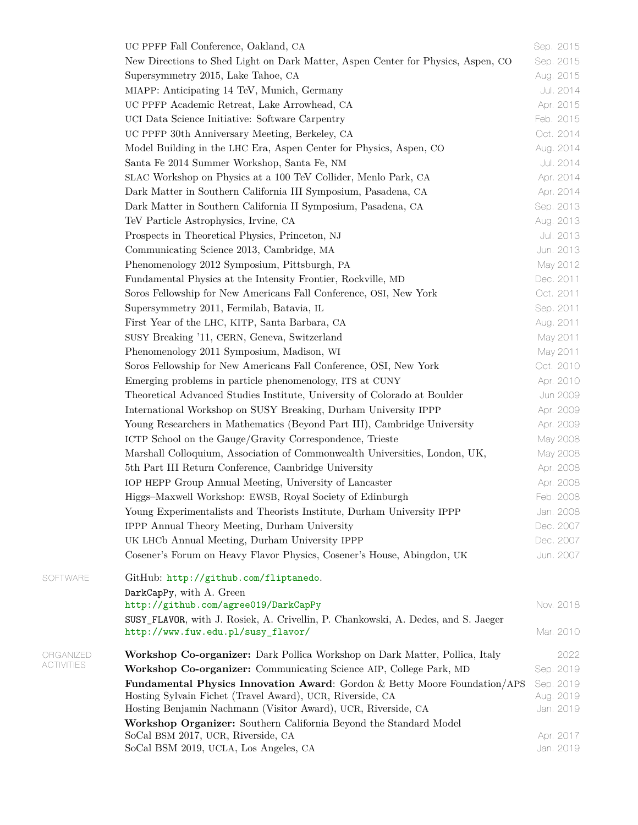| UC PPFP Fall Conference, Oakland, CA                                              | Sep. 2015              |
|-----------------------------------------------------------------------------------|------------------------|
| New Directions to Shed Light on Dark Matter, Aspen Center for Physics, Aspen, CO  | Sep. 2015              |
| Supersymmetry 2015, Lake Tahoe, CA                                                | Aug. 2015              |
| MIAPP: Anticipating 14 TeV, Munich, Germany                                       | Jul. 2014              |
| UC PPFP Academic Retreat, Lake Arrowhead, CA                                      | Apr. 2015              |
| UCI Data Science Initiative: Software Carpentry                                   | Feb. 2015              |
| UC PPFP 30th Anniversary Meeting, Berkeley, CA                                    | Oct. 2014              |
| Model Building in the LHC Era, Aspen Center for Physics, Aspen, CO                | Aug. 2014              |
| Santa Fe 2014 Summer Workshop, Santa Fe, NM                                       | Jul. 2014              |
| SLAC Workshop on Physics at a 100 TeV Collider, Menlo Park, CA                    | Apr. 2014              |
| Dark Matter in Southern California III Symposium, Pasadena, CA                    | Apr. 2014              |
| Dark Matter in Southern California II Symposium, Pasadena, CA                     | Sep. 2013              |
| TeV Particle Astrophysics, Irvine, CA                                             | Aug. 2013              |
| Prospects in Theoretical Physics, Princeton, NJ                                   | Jul. 2013              |
| Communicating Science 2013, Cambridge, MA                                         | Jun. 2013              |
| Phenomenology 2012 Symposium, Pittsburgh, PA                                      | May 2012               |
| Fundamental Physics at the Intensity Frontier, Rockville, MD                      | Dec. 2011              |
| Soros Fellowship for New Americans Fall Conference, OSI, New York                 | Oct. 2011              |
| Supersymmetry 2011, Fermilab, Batavia, IL                                         | Sep. 2011              |
| First Year of the LHC, KITP, Santa Barbara, CA                                    | Aug. 2011              |
| SUSY Breaking '11, CERN, Geneva, Switzerland                                      | May 2011               |
| Phenomenology 2011 Symposium, Madison, WI                                         | May 2011               |
| Soros Fellowship for New Americans Fall Conference, OSI, New York                 | Oct. 2010              |
| Emerging problems in particle phenomenology, ITS at CUNY                          | Apr. 2010              |
| Theoretical Advanced Studies Institute, University of Colorado at Boulder         | Jun 2009               |
| International Workshop on SUSY Breaking, Durham University IPPP                   | Apr. 2009              |
| Young Researchers in Mathematics (Beyond Part III), Cambridge University          | Apr. 2009              |
| ICTP School on the Gauge/Gravity Correspondence, Trieste                          | May 2008               |
| Marshall Colloquium, Association of Commonwealth Universities, London, UK,        | May 2008               |
| 5th Part III Return Conference, Cambridge University                              | Apr. 2008              |
| IOP HEPP Group Annual Meeting, University of Lancaster                            | Apr. 2008              |
| Higgs-Maxwell Workshop: EWSB, Royal Society of Edinburgh                          | Feb. 2008              |
| Young Experimentalists and Theorists Institute, Durham University IPPP            | Jan. 2008              |
| IPPP Annual Theory Meeting, Durham University                                     | Dec. 2007              |
| UK LHCb Annual Meeting, Durham University IPPP                                    | Dec. 2007              |
| Cosener's Forum on Heavy Flavor Physics, Cosener's House, Abingdon, UK            | Jun. 2007              |
| GitHub: http://github.com/fliptanedo.                                             |                        |
| DarkCapPy, with A. Green                                                          |                        |
| http://github.com/agree019/DarkCapPy                                              | Nov. 2018              |
| SUSY_FLAVOR, with J. Rosiek, A. Crivellin, P. Chankowski, A. Dedes, and S. Jaeger |                        |
| http://www.fuw.edu.pl/susy_flavor/                                                | Mar. 2010              |
| Workshop Co-organizer: Dark Pollica Workshop on Dark Matter, Pollica, Italy       | 2022                   |
| Workshop Co-organizer: Communicating Science AIP, College Park, MD                | Sep. 2019              |
| Fundamental Physics Innovation Award: Gordon & Betty Moore Foundation/APS         | Sep. 2019              |
| Hosting Sylvain Fichet (Travel Award), UCR, Riverside, CA                         | Aug. 2019              |
| Hosting Benjamin Nachmann (Visitor Award), UCR, Riverside, CA                     | Jan. 2019              |
| Workshop Organizer: Southern California Beyond the Standard Model                 |                        |
| SoCal BSM 2017, UCR, Riverside, CA<br>SoCal BSM 2019, UCLA, Los Angeles, CA       | Apr. 2017<br>Jan. 2019 |
|                                                                                   |                        |

SOFTWARE

**ORGANIZED ACTIVITIES**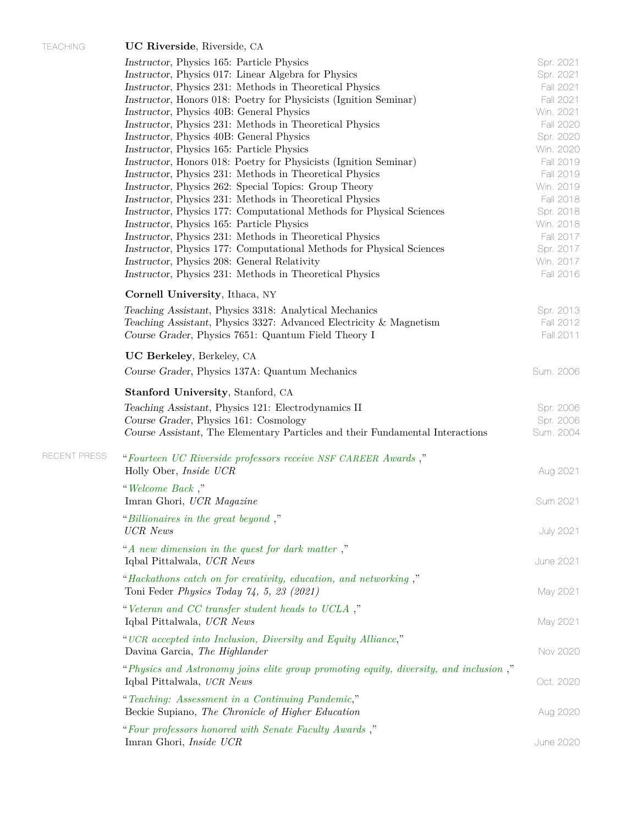RECEN T PRESS "*[Fourteen UC Riverside professors receive](https://insideucr.ucr.edu/awards/2021/08/23/fourteen-uc-riverside-professors-receive-nsf-career-awards ) NSF CAREER Awards* ,"

| TEACHING | <b>UC Riverside.</b> Riverside. CA |  |  |
|----------|------------------------------------|--|--|
|----------|------------------------------------|--|--|

| Instructor, Physics 165: Particle Physics<br>Instructor, Physics 017: Linear Algebra for Physics<br>Instructor, Physics 231: Methods in Theoretical Physics<br>Instructor, Honors 018: Poetry for Physicists (Ignition Seminar)<br>Instructor, Physics 40B: General Physics<br>Instructor, Physics 231: Methods in Theoretical Physics<br>Instructor, Physics 40B: General Physics<br>Instructor, Physics 165: Particle Physics<br>Instructor, Honors 018: Poetry for Physicists (Ignition Seminar)<br>Instructor, Physics 231: Methods in Theoretical Physics<br>Instructor, Physics 262: Special Topics: Group Theory<br>Instructor, Physics 231: Methods in Theoretical Physics<br>Instructor, Physics 177: Computational Methods for Physical Sciences<br>Instructor, Physics 165: Particle Physics<br>Instructor, Physics 231: Methods in Theoretical Physics | Spr. 2021<br>Spr. 2021<br>Fall 2021<br>Fall 2021<br>Win. 2021<br><b>Fall 2020</b><br>Spr. 2020<br>Win. 2020<br>Fall 2019<br>Fall 2019<br>Win. 2019<br>Fall 2018<br>Spr. 2018<br>Win. 2018<br>Fall 2017 |
|--------------------------------------------------------------------------------------------------------------------------------------------------------------------------------------------------------------------------------------------------------------------------------------------------------------------------------------------------------------------------------------------------------------------------------------------------------------------------------------------------------------------------------------------------------------------------------------------------------------------------------------------------------------------------------------------------------------------------------------------------------------------------------------------------------------------------------------------------------------------|--------------------------------------------------------------------------------------------------------------------------------------------------------------------------------------------------------|
| Instructor, Physics 177: Computational Methods for Physical Sciences<br>Instructor, Physics 208: General Relativity<br>Instructor, Physics 231: Methods in Theoretical Physics                                                                                                                                                                                                                                                                                                                                                                                                                                                                                                                                                                                                                                                                                     | Spr. 2017<br>Win. 2017<br>Fall 2016                                                                                                                                                                    |
| Cornell University, Ithaca, NY                                                                                                                                                                                                                                                                                                                                                                                                                                                                                                                                                                                                                                                                                                                                                                                                                                     |                                                                                                                                                                                                        |
| Teaching Assistant, Physics 3318: Analytical Mechanics<br>Teaching Assistant, Physics 3327: Advanced Electricity & Magnetism<br>Course Grader, Physics 7651: Quantum Field Theory I                                                                                                                                                                                                                                                                                                                                                                                                                                                                                                                                                                                                                                                                                | Spr. 2013<br>Fall 2012<br>Fall 2011                                                                                                                                                                    |
| UC Berkeley, Berkeley, CA                                                                                                                                                                                                                                                                                                                                                                                                                                                                                                                                                                                                                                                                                                                                                                                                                                          |                                                                                                                                                                                                        |
| Course Grader, Physics 137A: Quantum Mechanics                                                                                                                                                                                                                                                                                                                                                                                                                                                                                                                                                                                                                                                                                                                                                                                                                     | Sum. 2006                                                                                                                                                                                              |
| <b>Stanford University, Stanford, CA</b>                                                                                                                                                                                                                                                                                                                                                                                                                                                                                                                                                                                                                                                                                                                                                                                                                           |                                                                                                                                                                                                        |
| Teaching Assistant, Physics 121: Electrodynamics II<br>Course Grader, Physics 161: Cosmology<br>Course Assistant, The Elementary Particles and their Fundamental Interactions                                                                                                                                                                                                                                                                                                                                                                                                                                                                                                                                                                                                                                                                                      | Spr. 2006<br>Spr. 2006<br>Sum. 2004                                                                                                                                                                    |
| "Fourteen UC Riverside professors receive NSF CAREER Awards,"<br>Holly Ober, <i>Inside UCR</i>                                                                                                                                                                                                                                                                                                                                                                                                                                                                                                                                                                                                                                                                                                                                                                     | Aug 2021                                                                                                                                                                                               |
| "Welcome Back,"<br>Imran Ghori, UCR Magazine                                                                                                                                                                                                                                                                                                                                                                                                                                                                                                                                                                                                                                                                                                                                                                                                                       | Sum 2021                                                                                                                                                                                               |
| "Billionaires in the great beyond,"<br><b>UCR</b> News                                                                                                                                                                                                                                                                                                                                                                                                                                                                                                                                                                                                                                                                                                                                                                                                             | <b>July 2021</b>                                                                                                                                                                                       |
| "A new dimension in the quest for dark matter,"<br>Iqbal Pittalwala, UCR News                                                                                                                                                                                                                                                                                                                                                                                                                                                                                                                                                                                                                                                                                                                                                                                      | June 2021                                                                                                                                                                                              |
| "Hackathons catch on for creativity, education, and networking,"<br>Toni Feder Physics Today $74, 5, 23$ (2021)                                                                                                                                                                                                                                                                                                                                                                                                                                                                                                                                                                                                                                                                                                                                                    | May 2021                                                                                                                                                                                               |
| "Veteran and CC transfer student heads to UCLA,"<br>Iqbal Pittalwala, UCR News                                                                                                                                                                                                                                                                                                                                                                                                                                                                                                                                                                                                                                                                                                                                                                                     | May 2021                                                                                                                                                                                               |
| "UCR accepted into Inclusion, Diversity and Equity Alliance,"<br>Davina Garcia, The Highlander                                                                                                                                                                                                                                                                                                                                                                                                                                                                                                                                                                                                                                                                                                                                                                     | Nov 2020                                                                                                                                                                                               |
| "Physics and Astronomy joins elite group promoting equity, diversity, and inclusion,"<br>Iqbal Pittalwala, UCR News                                                                                                                                                                                                                                                                                                                                                                                                                                                                                                                                                                                                                                                                                                                                                | Oct. 2020                                                                                                                                                                                              |
| "Teaching: Assessment in a Continuing Pandemic,"<br>Beckie Supiano, The Chronicle of Higher Education                                                                                                                                                                                                                                                                                                                                                                                                                                                                                                                                                                                                                                                                                                                                                              | Aug 2020                                                                                                                                                                                               |
| "Four professors honored with Senate Faculty Awards,"<br>Imran Ghori, Inside UCR                                                                                                                                                                                                                                                                                                                                                                                                                                                                                                                                                                                                                                                                                                                                                                                   | <b>June 2020</b>                                                                                                                                                                                       |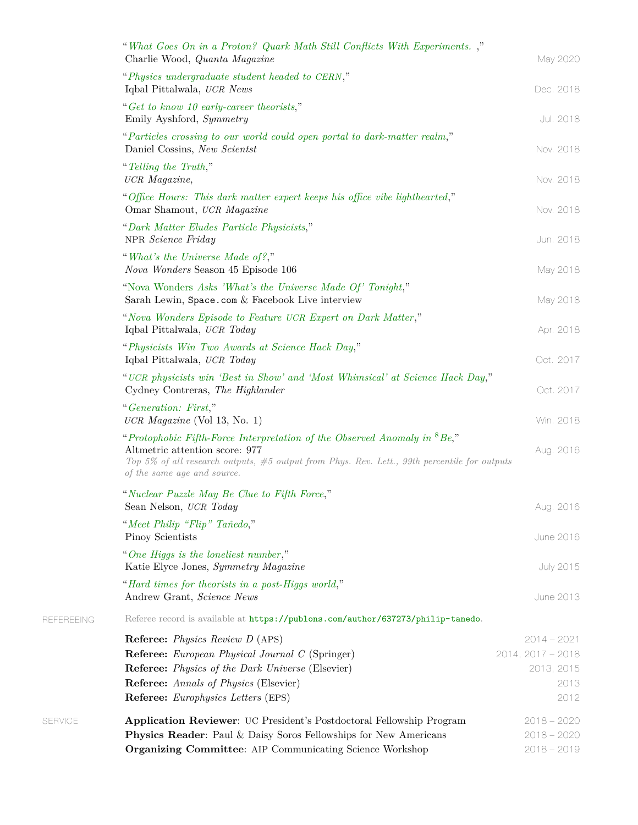|            | "What Goes On in a Proton? Quark Math Still Conflicts With Experiments.<br>Charlie Wood, Quanta Magazine                                                                                                                                            | May 2020                       |
|------------|-----------------------------------------------------------------------------------------------------------------------------------------------------------------------------------------------------------------------------------------------------|--------------------------------|
|            | "Physics undergraduate student headed to CERN,"                                                                                                                                                                                                     |                                |
|            | Iqbal Pittalwala, UCR News                                                                                                                                                                                                                          | Dec. 2018                      |
|            | "Get to know 10 early-career theorists,"<br>Emily Ayshford, Symmetry                                                                                                                                                                                | Jul. 2018                      |
|            | "Particles crossing to our world could open portal to dark-matter realm,"<br>Daniel Cossins, New Scientst                                                                                                                                           | Nov. 2018                      |
|            | "Telling the Truth,"<br>UCR Magazine,                                                                                                                                                                                                               | Nov. 2018                      |
|            | "Office Hours: This dark matter expert keeps his office vibe lighthearted,"<br>Omar Shamout, UCR Magazine                                                                                                                                           | Nov. 2018                      |
|            | "Dark Matter Eludes Particle Physicists,"<br>NPR Science Friday                                                                                                                                                                                     | Jun. 2018                      |
|            | "What's the Universe Made of?,"<br>Nova Wonders Season 45 Episode 106                                                                                                                                                                               | May 2018                       |
|            | "Nova Wonders Asks 'What's the Universe Made Of' Tonight,"<br>Sarah Lewin, Space.com & Facebook Live interview                                                                                                                                      | May 2018                       |
|            | "Nova Wonders Episode to Feature UCR Expert on Dark Matter,"<br>Iqbal Pittalwala, UCR Today                                                                                                                                                         | Apr. 2018                      |
|            | "Physicists Win Two Awards at Science Hack Day,"<br>Iqbal Pittalwala, UCR Today                                                                                                                                                                     | Oct. 2017                      |
|            | "UCR physicists win 'Best in Show' and 'Most Whimsical' at Science Hack Day,"<br>Cydney Contreras, The Highlander                                                                                                                                   | Oct. 2017                      |
|            | "Generation: First,"<br>UCR Magazine (Vol 13, No. 1)                                                                                                                                                                                                | Win. 2018                      |
|            | "Protophobic Fifth-Force Interpretation of the Observed Anomaly in ${}^{8}Be$ ,"<br>Altmetric attention score: 977<br>Top 5% of all research outputs, $#5$ output from Phys. Rev. Lett., 99th percentile for outputs<br>of the same age and source. | Aug. 2016                      |
|            | "Nuclear Puzzle May Be Clue to Fifth Force,"<br>Sean Nelson, UCR Today                                                                                                                                                                              | Aug. 2016                      |
|            | "Meet Philip "Flip" Tañedo,"<br>Pinoy Scientists                                                                                                                                                                                                    | June 2016                      |
|            | "One Higgs is the loneliest number,"<br>Katie Elyce Jones, Symmetry Magazine                                                                                                                                                                        | <b>July 2015</b>               |
|            | "Hard times for theorists in a post-Higgs world,"<br>Andrew Grant, Science News                                                                                                                                                                     | June 2013                      |
| REFEREEING | Referee record is available at https://publons.com/author/637273/philip-tanedo.                                                                                                                                                                     |                                |
|            | <b>Referee:</b> <i>Physics Review D</i> (APS)                                                                                                                                                                                                       | $2014 - 2021$                  |
|            | Referee: European Physical Journal C (Springer)                                                                                                                                                                                                     | $2014, 2017 - 2018$            |
|            | Referee: Physics of the Dark Universe (Elsevier)                                                                                                                                                                                                    | 2013, 2015                     |
|            | Referee: Annals of Physics (Elsevier)<br><b>Referee:</b> <i>Europhysics Letters</i> (EPS)                                                                                                                                                           | 2013<br>2012                   |
|            |                                                                                                                                                                                                                                                     |                                |
| SERVICE    | Application Reviewer: UC President's Postdoctoral Fellowship Program<br>Physics Reader: Paul & Daisy Soros Fellowships for New Americans                                                                                                            | $2018 - 2020$<br>$2018 - 2020$ |
|            | Organizing Committee: AIP Communicating Science Workshop                                                                                                                                                                                            | $2018 - 2019$                  |

REFEREEING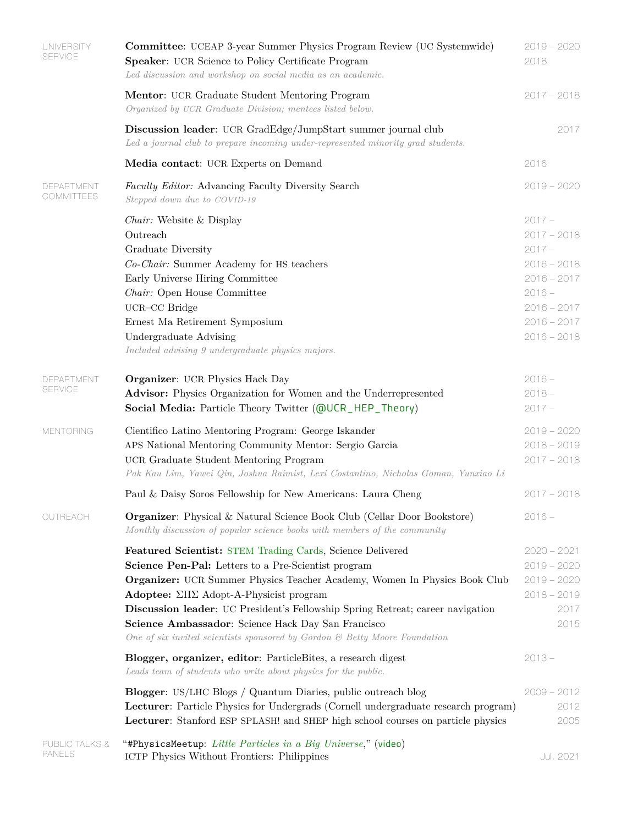| <b>UNIVERSITY</b><br><b>SERVICE</b> | <b>Committee:</b> UCEAP 3-year Summer Physics Program Review (UC Systemwide)<br>Speaker: UCR Science to Policy Certificate Program<br>Led discussion and workshop on social media as an academic.                                                                                                                                                                                                                                                                           | $2019 - 2020$<br>2018                                                                                                                  |
|-------------------------------------|-----------------------------------------------------------------------------------------------------------------------------------------------------------------------------------------------------------------------------------------------------------------------------------------------------------------------------------------------------------------------------------------------------------------------------------------------------------------------------|----------------------------------------------------------------------------------------------------------------------------------------|
|                                     | Mentor: UCR Graduate Student Mentoring Program<br>Organized by UCR Graduate Division; mentees listed below.                                                                                                                                                                                                                                                                                                                                                                 | $2017 - 2018$                                                                                                                          |
|                                     | Discussion leader: UCR GradEdge/JumpStart summer journal club<br>Led a journal club to prepare incoming under-represented minority grad students.                                                                                                                                                                                                                                                                                                                           | 2017                                                                                                                                   |
|                                     | Media contact: UCR Experts on Demand                                                                                                                                                                                                                                                                                                                                                                                                                                        | 2016                                                                                                                                   |
| DEPARTMENT<br>COMMITTEES            | Faculty Editor: Advancing Faculty Diversity Search<br>Stepped down due to COVID-19                                                                                                                                                                                                                                                                                                                                                                                          | $2019 - 2020$                                                                                                                          |
|                                     | <i>Chair:</i> Website & Display<br>Outreach<br>Graduate Diversity<br>Co-Chair: Summer Academy for HS teachers<br>Early Universe Hiring Committee<br>${\it Chair:}$ Open House Committee<br>UCR-CC Bridge<br>Ernest Ma Retirement Symposium<br>Undergraduate Advising<br>Included advising 9 undergraduate physics majors.                                                                                                                                                   | $2017 -$<br>$2017 - 2018$<br>$2017 -$<br>$2016 - 2018$<br>$2016 - 2017$<br>$2016 -$<br>$2016 - 2017$<br>$2016 - 2017$<br>$2016 - 2018$ |
| DEPARTMENT<br><b>SERVICE</b>        | <b>Organizer:</b> UCR Physics Hack Day<br>Advisor: Physics Organization for Women and the Underrepresented<br>Social Media: Particle Theory Twitter (@UCR_HEP_Theory)                                                                                                                                                                                                                                                                                                       | $2016 -$<br>$2018 -$<br>$2017 -$                                                                                                       |
| <b>MENTORING</b>                    | Cientifico Latino Mentoring Program: George Iskander<br>APS National Mentoring Community Mentor: Sergio Garcia<br>UCR Graduate Student Mentoring Program<br>Pak Kau Lim, Yawei Qin, Joshua Raimist, Lexi Costantino, Nicholas Goman, Yunxiao Li                                                                                                                                                                                                                             | $2019 - 2020$<br>$2018 - 2019$<br>$2017 - 2018$                                                                                        |
|                                     | Paul & Daisy Soros Fellowship for New Americans: Laura Cheng                                                                                                                                                                                                                                                                                                                                                                                                                | $2017 - 2018$                                                                                                                          |
| OUTREACH                            | <b>Organizer:</b> Physical & Natural Science Book Club (Cellar Door Bookstore)<br>Monthly discussion of popular science books with members of the community                                                                                                                                                                                                                                                                                                                 | $2016 -$                                                                                                                               |
|                                     | Featured Scientist: STEM Trading Cards, Science Delivered<br>Science Pen-Pal: Letters to a Pre-Scientist program<br>Organizer: UCR Summer Physics Teacher Academy, Women In Physics Book Club<br>Adoptee: $\Sigma\Pi\Sigma$ Adopt-A-Physicist program<br>Discussion leader: UC President's Fellowship Spring Retreat; career navigation<br>Science Ambassador: Science Hack Day San Francisco<br>One of six invited scientists sponsored by Gordon & Betty Moore Foundation | $2020 - 2021$<br>$2019 - 2020$<br>$2019 - 2020$<br>$2018 - 2019$<br>2017<br>2015                                                       |
|                                     | Blogger, organizer, editor: ParticleBites, a research digest<br>Leads team of students who write about physics for the public.                                                                                                                                                                                                                                                                                                                                              | $2013 -$                                                                                                                               |
|                                     | <b>Blogger</b> : US/LHC Blogs / Quantum Diaries, public outreach blog<br>Lecturer: Particle Physics for Undergrads (Cornell undergraduate research program)<br>Lecturer: Stanford ESP SPLASH! and SHEP high school courses on particle physics                                                                                                                                                                                                                              | $2009 - 2012$<br>2012<br>2005                                                                                                          |
| PUBLIC TALKS &<br><b>PANELS</b>     | "#PhysicsMeetup: Little Particles in a Big Universe," (video)<br>ICTP Physics Without Frontiers: Philippines                                                                                                                                                                                                                                                                                                                                                                | Jul. 2021                                                                                                                              |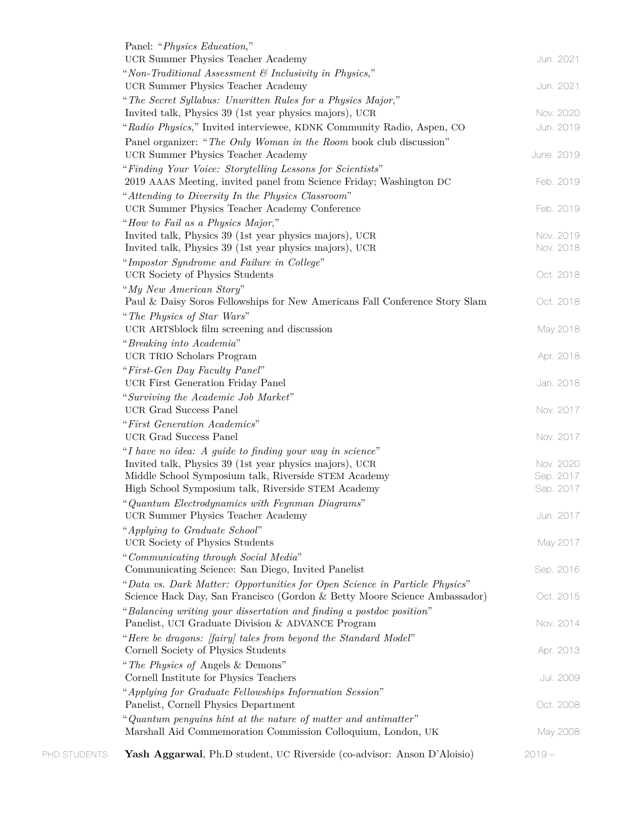| PHD STUDENTS | Yash Aggarwal, Ph.D student, UC Riverside (co-advisor: Anson D'Aloisio)                                                                                 | $2019 -$   |
|--------------|---------------------------------------------------------------------------------------------------------------------------------------------------------|------------|
|              | "Quantum penguins hint at the nature of matter and antimatter"<br>Marshall Aid Commemoration Commission Colloquium, London, UK                          | May 2008   |
|              | "Applying for Graduate Fellowships Information Session"<br>Panelist, Cornell Physics Department                                                         | Oct. 2008  |
|              | Cornell Institute for Physics Teachers                                                                                                                  | Jul. 2009  |
|              | "The Physics of Angels & Demons"                                                                                                                        |            |
|              | "Here be dragons: [fairy] tales from beyond the Standard Model"<br>Cornell Society of Physics Students                                                  | Apr. 2013  |
|              | Panelist, UCI Graduate Division & ADVANCE Program                                                                                                       | Nov. 2014  |
|              | "Balancing writing your dissertation and finding a postdoc position"                                                                                    |            |
|              | "Data vs. Dark Matter: Opportunities for Open Science in Particle Physics"<br>Science Hack Day, San Francisco (Gordon & Betty Moore Science Ambassador) | Oct. 2015  |
|              | Communicating Science: San Diego, Invited Panelist                                                                                                      | Sep. 2016  |
|              | "Communicating through Social Media"                                                                                                                    |            |
|              | UCR Society of Physics Students                                                                                                                         | May 2017   |
|              | "Applying to Graduate School"                                                                                                                           |            |
|              | "Quantum Electrodynamics with Feynman Diagrams"<br>UCR Summer Physics Teacher Academy                                                                   | Jun. 2017  |
|              | High School Symposium talk, Riverside STEM Academy                                                                                                      | Sep. 2017  |
|              | Middle School Symposium talk, Riverside STEM Academy                                                                                                    | Sep. 2017  |
|              | Invited talk, Physics 39 (1st year physics majors), UCR                                                                                                 | Nov. 2020  |
|              | UCR Grad Success Panel<br>"I have no idea: A guide to finding your way in science"                                                                      | Nov. 2017  |
|              | "First Generation Academics"                                                                                                                            |            |
|              | UCR Grad Success Panel                                                                                                                                  | Nov. 2017  |
|              | "Surviving the Academic Job Market"                                                                                                                     |            |
|              | UCR First Generation Friday Panel                                                                                                                       | Jan. 2018  |
|              | UCR TRIO Scholars Program<br>"First-Gen Day Faculty Panel"                                                                                              | Apr. 2018  |
|              | "Breaking into Academia"                                                                                                                                |            |
|              | UCR ARTSblock film screening and discussion                                                                                                             | May 2018   |
|              | "The Physics of Star Wars"                                                                                                                              |            |
|              | Paul & Daisy Soros Fellowships for New Americans Fall Conference Story Slam                                                                             | Oct. 2018  |
|              | UCR Society of Physics Students<br>"My New American Story"                                                                                              | Oct. 2018  |
|              | "Impostor Syndrome and Failure in College"                                                                                                              |            |
|              | Invited talk, Physics 39 (1st year physics majors), UCR                                                                                                 | Nov. 2018  |
|              | Invited talk, Physics 39 (1st year physics majors), UCR                                                                                                 | Nov. 2019  |
|              | UCR Summer Physics Teacher Academy Conference<br>"How to Fail as a Physics Major,"                                                                      | Feb. 2019  |
|              | "Attending to Diversity In the Physics Classroom"                                                                                                       |            |
|              | 2019 AAAS Meeting, invited panel from Science Friday; Washington DC                                                                                     | Feb. 2019  |
|              | "Finding Your Voice: Storytelling Lessons for Scientists"                                                                                               |            |
|              | UCR Summer Physics Teacher Academy                                                                                                                      | June. 2019 |
|              | "Radio Physics," Invited interviewee, KDNK Community Radio, Aspen, CO<br>Panel organizer: "The Only Woman in the Room book club discussion"             | Jun. 2019  |
|              | Invited talk, Physics 39 (1st year physics majors), UCR                                                                                                 | Nov. 2020  |
|              | "The Secret Syllabus: Unwritten Rules for a Physics Major,"                                                                                             |            |
|              | UCR Summer Physics Teacher Academy                                                                                                                      | Jun. 2021  |
|              | "Non-Traditional Assessment & Inclusivity in Physics,"                                                                                                  |            |
|              | UCR Summer Physics Teacher Academy                                                                                                                      | Jun. 2021  |
|              | Panel: "Physics Education,"                                                                                                                             |            |